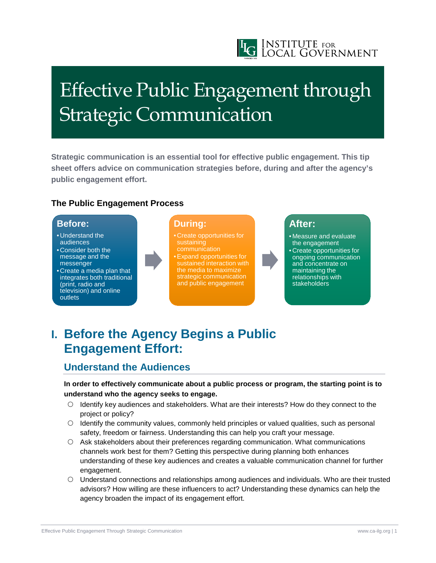

# Effective Public Engagement through Strategic Communication

**Strategic communication is an essential tool for effective public engagement. This tip sheet offers advice on communication strategies before, during and after the agency's public engagement effort.**

#### **The Public Engagement Process**

### **Before:**

- Understand the audiences
- Consider both the message and the messenger
- Create a media plan that integrates both traditional (print, radio and television) and online outlets

### **During:**

- Create opportunities for sustaining communication •Expand opportunities for sustained interaction with the media to maximize
- strategic communication and public engagement

## **After:**

• Measure and evaluate the engagement • Create opportunities for ongoing communication and concentrate on maintaining the relationships with **stakeholders** 

# **I. Before the Agency Begins a Public Engagement Effort:**

# **Understand the Audiences**

**In order to effectively communicate about a public process or program, the starting point is to understand who the agency seeks to engage.**

- $\circ$  Identify key audiences and stakeholders. What are their interests? How do they connect to the project or policy?
- $\circ$  Identify the community values, commonly held principles or valued qualities, such as personal safety, freedom or fairness. Understanding this can help you craft your message.
- Ask stakeholders about their preferences regarding communication. What communications channels work best for them? Getting this perspective during planning both enhances understanding of these key audiences and creates a valuable communication channel for further engagement.
- Understand connections and relationships among audiences and individuals. Who are their trusted advisors? How willing are these influencers to act? Understanding these dynamics can help the agency broaden the impact of its engagement effort.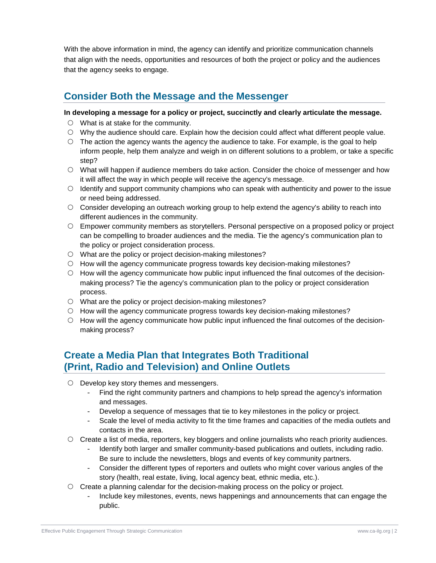With the above information in mind, the agency can identify and prioritize communication channels that align with the needs, opportunities and resources of both the project or policy and the audiences that the agency seeks to engage.

### **Consider Both the Message and the Messenger**

#### **In developing a message for a policy or project, succinctly and clearly articulate the message.**

- What is at stake for the community.
- Why the audience should care. Explain how the decision could affect what different people value.
- $\circ$  The action the agency wants the agency the audience to take. For example, is the goal to help inform people, help them analyze and weigh in on different solutions to a problem, or take a specific step?
- What will happen if audience members do take action. Consider the choice of messenger and how it will affect the way in which people will receive the agency's message.
- $\circ$  Identify and support community champions who can speak with authenticity and power to the issue or need being addressed.
- Consider developing an outreach working group to help extend the agency's ability to reach into different audiences in the community.
- Empower community members as storytellers. Personal perspective on a proposed policy or project can be compelling to broader audiences and the media. Tie the agency's communication plan to the policy or project consideration process.
- What are the policy or project decision-making milestones?
- How will the agency communicate progress towards key decision-making milestones?
- $\circ$  How will the agency communicate how public input influenced the final outcomes of the decisionmaking process? Tie the agency's communication plan to the policy or project consideration process.
- What are the policy or project decision-making milestones?
- $\circ$  How will the agency communicate progress towards key decision-making milestones?
- $\circ$  How will the agency communicate how public input influenced the final outcomes of the decisionmaking process?

### **Create a Media Plan that Integrates Both Traditional (Print, Radio and Television) and Online Outlets**

- O Develop key story themes and messengers.
	- Find the right community partners and champions to help spread the agency's information and messages.
	- Develop a sequence of messages that tie to key milestones in the policy or project.
	- Scale the level of media activity to fit the time frames and capacities of the media outlets and contacts in the area.
- $\circ$  Create a list of media, reporters, key bloggers and online journalists who reach priority audiences.
	- Identify both larger and smaller community-based publications and outlets, including radio. Be sure to include the newsletters, blogs and events of key community partners.
	- Consider the different types of reporters and outlets who might cover various angles of the story (health, real estate, living, local agency beat, ethnic media, etc.).
- $\circ$  Create a planning calendar for the decision-making process on the policy or project.
	- Include key milestones, events, news happenings and announcements that can engage the public.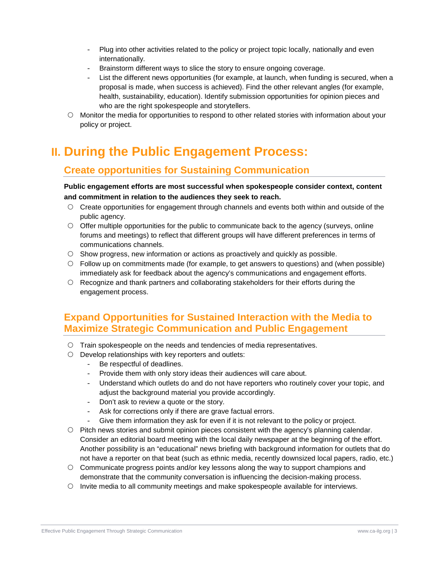- Plug into other activities related to the policy or project topic locally, nationally and even internationally.
- Brainstorm different ways to slice the story to ensure ongoing coverage.
- List the different news opportunities (for example, at launch, when funding is secured, when a proposal is made, when success is achieved). Find the other relevant angles (for example, health, sustainability, education). Identify submission opportunities for opinion pieces and who are the right spokespeople and storytellers.
- Monitor the media for opportunities to respond to other related stories with information about your policy or project.

# **II. During the Public Engagement Process:**

# **Create opportunities for Sustaining Communication**

**Public engagement efforts are most successful when spokespeople consider context, content and commitment in relation to the audiences they seek to reach.**

- Create opportunities for engagement through channels and events both within and outside of the public agency.
- $\circ$  Offer multiple opportunities for the public to communicate back to the agency (surveys, online forums and meetings) to reflect that different groups will have different preferences in terms of communications channels.
- $\circ$  Show progress, new information or actions as proactively and quickly as possible.
- Follow up on commitments made (for example, to get answers to questions) and (when possible) immediately ask for feedback about the agency's communications and engagement efforts.
- Recognize and thank partners and collaborating stakeholders for their efforts during the engagement process.

### **Expand Opportunities for Sustained Interaction with the Media to Maximize Strategic Communication and Public Engagement**

- $\circ$  Train spokespeople on the needs and tendencies of media representatives.
- $\circ$  Develop relationships with key reporters and outlets:
	- Be respectful of deadlines.
	- Provide them with only story ideas their audiences will care about.
	- Understand which outlets do and do not have reporters who routinely cover your topic, and adjust the background material you provide accordingly.
	- Don't ask to review a quote or the story.
	- Ask for corrections only if there are grave factual errors.
	- Give them information they ask for even if it is not relevant to the policy or project.
- $\circ$  Pitch news stories and submit opinion pieces consistent with the agency's planning calendar. Consider an editorial board meeting with the local daily newspaper at the beginning of the effort. Another possibility is an "educational" news briefing with background information for outlets that do not have a reporter on that beat (such as ethnic media, recently downsized local papers, radio, etc.)
- $\circ$  Communicate progress points and/or key lessons along the way to support champions and demonstrate that the community conversation is influencing the decision-making process.
- $\circ$  Invite media to all community meetings and make spokespeople available for interviews.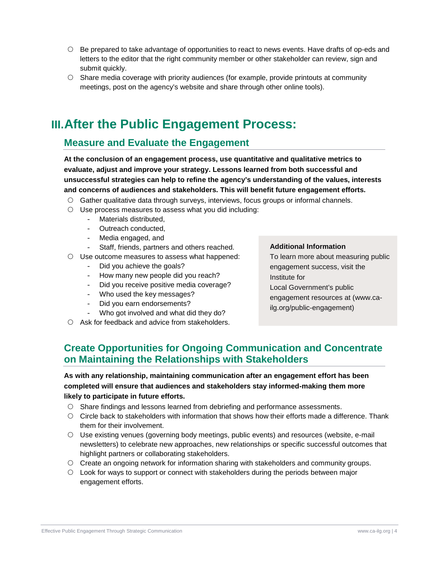- $\circ$  Be prepared to take advantage of opportunities to react to news events. Have drafts of op-eds and letters to the editor that the right community member or other stakeholder can review, sign and submit quickly.
- $\circ$  Share media coverage with priority audiences (for example, provide printouts at community meetings, post on the agency's website and share through other online tools).

# **III.After the Public Engagement Process:**

### **Measure and Evaluate the Engagement**

**At the conclusion of an engagement process, use quantitative and qualitative metrics to evaluate, adjust and improve your strategy. Lessons learned from both successful and unsuccessful strategies can help to refine the agency's understanding of the values, interests and concerns of audiences and stakeholders. This will benefit future engagement efforts.**

- Gather qualitative data through surveys, interviews, focus groups or informal channels.
- $\circ$  Use process measures to assess what you did including:
	- Materials distributed,
	- Outreach conducted,
	- Media engaged, and
	- Staff, friends, partners and others reached.
- $\circ$  Use outcome measures to assess what happened:
	- Did you achieve the goals?
	- How many new people did you reach?
	- Did you receive positive media coverage?

- Who got involved and what did they do?

- Who used the key messages?
- Did you earn endorsements?

### **Additional Information**

- To learn more about measuring public engagement success, visit the Institute for
- Local Government's public engagement resources at (www.cailg.org/public-engagement)
- $\circ$  Ask for feedback and advice from stakeholders.

### **Create Opportunities for Ongoing Communication and Concentrate on Maintaining the Relationships with Stakeholders**

#### **As with any relationship, maintaining communication after an engagement effort has been completed will ensure that audiences and stakeholders stay informed-making them more likely to participate in future efforts.**

- Share findings and lessons learned from debriefing and performance assessments.
- Circle back to stakeholders with information that shows how their efforts made a difference. Thank them for their involvement.
- Use existing venues (governing body meetings, public events) and resources (website, e-mail newsletters) to celebrate new approaches, new relationships or specific successful outcomes that highlight partners or collaborating stakeholders.
- Create an ongoing network for information sharing with stakeholders and community groups.
- Look for ways to support or connect with stakeholders during the periods between major engagement efforts.